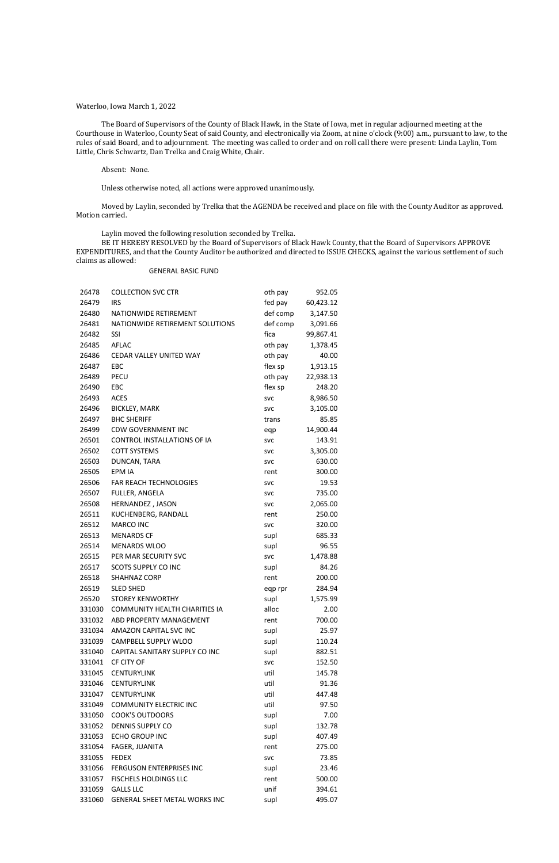## Waterloo, Iowa March 1, 2022

The Board of Supervisors of the County of Black Hawk, in the State of Iowa, met in regular adjourned meeting at the Courthouse in Waterloo, County Seat of said County, and electronically via Zoom, at nine o'clock (9:00) a.m., pursuant to law, to the rules of said Board, and to adjournment. The meeting was called to order and on roll call there were present: Linda Laylin, Tom Little, Chris Schwartz, Dan Trelka and Craig White, Chair.

## Absent: None.

Unless otherwise noted, all actions were approved unanimously.

Moved by Laylin, seconded by Trelka that the AGENDA be received and place on file with the County Auditor as approved. Motion carried.

Laylin moved the following resolution seconded by Trelka.

BE IT HEREBY RESOLVED by the Board of Supervisors of Black Hawk County, that the Board of Supervisors APPROVE EXPENDITURES, and that the County Auditor be authorized and directed to ISSUE CHECKS, against the various settlement of such claims as allowed:

#### GENERAL BASIC FUND

| 26478  | <b>COLLECTION SVC CTR</b>            | oth pay    | 952.05    |
|--------|--------------------------------------|------------|-----------|
| 26479  | <b>IRS</b>                           | fed pay    | 60,423.12 |
| 26480  | NATIONWIDE RETIREMENT                | def comp   | 3,147.50  |
| 26481  | NATIONWIDE RETIREMENT SOLUTIONS      | def comp   | 3,091.66  |
| 26482  | SSI                                  | fica       | 99,867.41 |
| 26485  | <b>AFLAC</b>                         | oth pay    | 1,378.45  |
| 26486  | CEDAR VALLEY UNITED WAY              | oth pay    | 40.00     |
| 26487  | <b>EBC</b>                           | flex sp    | 1,913.15  |
| 26489  | <b>PECU</b>                          | oth pay    | 22,938.13 |
| 26490  | EBC                                  | flex sp    | 248.20    |
| 26493  | <b>ACES</b>                          | <b>SVC</b> | 8,986.50  |
| 26496  | <b>BICKLEY, MARK</b>                 | <b>SVC</b> | 3,105.00  |
| 26497  | <b>BHC SHERIFF</b>                   | trans      | 85.85     |
| 26499  | <b>CDW GOVERNMENT INC</b>            | eqp        | 14,900.44 |
| 26501  | <b>CONTROL INSTALLATIONS OF IA</b>   | <b>SVC</b> | 143.91    |
| 26502  | <b>COTT SYSTEMS</b>                  | <b>SVC</b> | 3,305.00  |
| 26503  | DUNCAN, TARA                         | <b>SVC</b> | 630.00    |
| 26505  | <b>EPM IA</b>                        | rent       | 300.00    |
| 26506  | <b>FAR REACH TECHNOLOGIES</b>        | <b>SVC</b> | 19.53     |
| 26507  | FULLER, ANGELA                       | <b>SVC</b> | 735.00    |
| 26508  | HERNANDEZ, JASON                     | <b>SVC</b> | 2,065.00  |
| 26511  | KUCHENBERG, RANDALL                  | rent       | 250.00    |
| 26512  | <b>MARCO INC</b>                     | <b>SVC</b> | 320.00    |
| 26513  | <b>MENARDS CF</b>                    | supl       | 685.33    |
| 26514  | <b>MENARDS WLOO</b>                  | supl       | 96.55     |
| 26515  | PER MAR SECURITY SVC                 | <b>SVC</b> | 1,478.88  |
| 26517  | <b>SCOTS SUPPLY CO INC</b>           | supl       | 84.26     |
| 26518  | <b>SHAHNAZ CORP</b>                  | rent       | 200.00    |
| 26519  | <b>SLED SHED</b>                     | eqp rpr    | 284.94    |
| 26520  | <b>STOREY KENWORTHY</b>              | supl       | 1,575.99  |
| 331030 | <b>COMMUNITY HEALTH CHARITIES IA</b> | alloc      | 2.00      |
| 331032 | ABD PROPERTY MANAGEMENT              | rent       | 700.00    |
| 331034 | AMAZON CAPITAL SVC INC               | supl       | 25.97     |
| 331039 | CAMPBELL SUPPLY WLOO                 | supl       | 110.24    |
| 331040 | CAPITAL SANITARY SUPPLY CO INC       | supl       | 882.51    |
| 331041 | CF CITY OF                           | <b>SVC</b> | 152.50    |
| 331045 | <b>CENTURYLINK</b>                   | util       | 145.78    |
| 331046 | <b>CENTURYLINK</b>                   | util       | 91.36     |
| 331047 | <b>CENTURYLINK</b>                   | util       | 447.48    |
| 331049 | <b>COMMUNITY ELECTRIC INC</b>        | util       | 97.50     |
| 331050 | <b>COOK'S OUTDOORS</b>               | supl       | 7.00      |
| 331052 | <b>DENNIS SUPPLY CO</b>              | supl       | 132.78    |
| 331053 | <b>ECHO GROUP INC</b>                | supl       | 407.49    |
| 331054 | FAGER, JUANITA                       | rent       | 275.00    |
| 331055 | <b>FEDEX</b>                         | <b>SVC</b> | 73.85     |
| 331056 | FERGUSON ENTERPRISES INC             | supl       | 23.46     |
| 331057 | <b>FISCHELS HOLDINGS LLC</b>         | rent       | 500.00    |
| 331059 | <b>GALLS LLC</b>                     | unif       | 394.61    |
| 331060 | <b>GENERAL SHEET METAL WORKS INC</b> | supl       | 495.07    |
|        |                                      |            |           |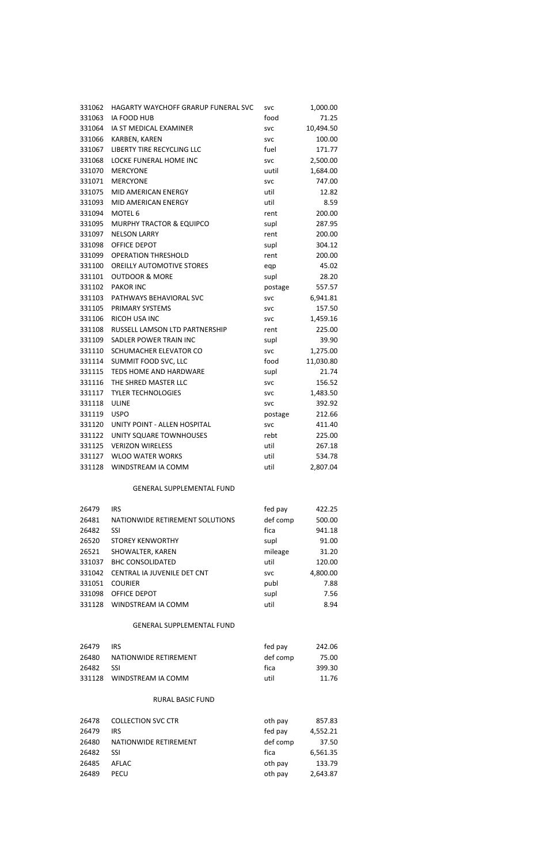| 331062 | HAGARTY WAYCHOFF GRARUP FUNERAL SVC | <b>SVC</b> | 1,000.00  |
|--------|-------------------------------------|------------|-----------|
| 331063 | IA FOOD HUB                         | food       | 71.25     |
| 331064 | IA ST MEDICAL EXAMINER              | <b>SVC</b> | 10,494.50 |
| 331066 | KARBEN, KAREN                       | <b>SVC</b> | 100.00    |
| 331067 | LIBERTY TIRE RECYCLING LLC          | fuel       | 171.77    |
| 331068 | LOCKE FUNERAL HOME INC              | <b>SVC</b> | 2,500.00  |
| 331070 | <b>MERCYONE</b>                     | uutil      | 1,684.00  |
| 331071 | <b>MERCYONE</b>                     | <b>SVC</b> | 747.00    |
| 331075 | <b>MID AMERICAN ENERGY</b>          | util       | 12.82     |
| 331093 | MID AMERICAN ENERGY                 | util       | 8.59      |
| 331094 | MOTEL 6                             | rent       | 200.00    |
| 331095 | MURPHY TRACTOR & EQUIPCO            | supl       | 287.95    |
| 331097 | <b>NELSON LARRY</b>                 | rent       | 200.00    |
| 331098 | <b>OFFICE DEPOT</b>                 | supl       | 304.12    |
| 331099 | <b>OPERATION THRESHOLD</b>          | rent       | 200.00    |
| 331100 | OREILLY AUTOMOTIVE STORES           | eqp        | 45.02     |
| 331101 | <b>OUTDOOR &amp; MORE</b>           | supl       | 28.20     |
| 331102 | <b>PAKOR INC</b>                    | postage    | 557.57    |
| 331103 | PATHWAYS BEHAVIORAL SVC             | <b>SVC</b> | 6,941.81  |
| 331105 | PRIMARY SYSTEMS                     | <b>SVC</b> | 157.50    |
| 331106 | <b>RICOH USA INC</b>                | <b>SVC</b> | 1,459.16  |
| 331108 | RUSSELL LAMSON LTD PARTNERSHIP      | rent       | 225.00    |
| 331109 | SADLER POWER TRAIN INC              | supl       | 39.90     |
| 331110 | SCHUMACHER ELEVATOR CO              | <b>SVC</b> | 1,275.00  |
| 331114 | SUMMIT FOOD SVC, LLC                | food       | 11,030.80 |
| 331115 | TEDS HOME AND HARDWARE              | supl       | 21.74     |
| 331116 | THE SHRED MASTER LLC                | <b>SVC</b> | 156.52    |
| 331117 | <b>TYLER TECHNOLOGIES</b>           | <b>SVC</b> | 1,483.50  |
| 331118 | <b>ULINE</b>                        | <b>SVC</b> | 392.92    |
| 331119 | <b>USPO</b>                         | postage    | 212.66    |
| 331120 | UNITY POINT - ALLEN HOSPITAL        | <b>SVC</b> | 411.40    |
| 331122 | UNITY SQUARE TOWNHOUSES             | rebt       | 225.00    |
| 331125 | <b>VERIZON WIRELESS</b>             | util       | 267.18    |
| 331127 | <b>WLOO WATER WORKS</b>             | util       | 534.78    |
| 331128 | WINDSTREAM IA COMM                  | util       | 2,807.04  |
|        | <b>GENERAL SUPPLEMENTAL FUND</b>    |            |           |
| 26479  | <b>IRS</b>                          | fed pay    | 422.25    |
| 26481  | NATIONWIDE RETIREMENT SOLUTIONS     | def comp   | 500.00    |
| 26482  | SSI                                 | fica       | 941.18    |
| 26520  | <b>STOREY KENWORTHY</b>             | supl       | 91.00     |
| 26521  | SHOWALTER, KAREN                    | mileage    | 31.20     |
| 331037 | <b>BHC CONSOLIDATED</b>             | util       | 120.00    |
| 331042 | CENTRAL IA JUVENILE DET CNT         | <b>SVC</b> | 4,800.00  |

| 26520  | <b>STOREY KENWORTHY</b>            | supl       | 91.00    |
|--------|------------------------------------|------------|----------|
| 26521  | SHOWALTER, KAREN                   | mileage    | 31.20    |
|        | 331037 BHC CONSOLIDATED            | util       | 120.00   |
|        | 331042 CENTRAL IA JUVENILE DET CNT | <b>SVC</b> | 4,800.00 |
| 331051 | <b>COURIER</b>                     | publ       | 7.88     |
|        | 331098 OFFICE DEPOT                | supl       | 7.56     |
|        | 331128 WINDSTREAM IA COMM          | util       | 8.94     |
|        |                                    |            |          |
|        | <b>GENERAL SUPPLEMENTAL FUND</b>   |            |          |

| 26479 | IRS.                      | fed pay  | 242.06 |
|-------|---------------------------|----------|--------|
| 26480 | NATIONWIDE RETIREMENT     | def comp | 75.00  |
| 26482 | 551                       | fica     | 399.30 |
|       | 331128 WINDSTREAM IA COMM | util     | 11.76  |

# RURAL BASIC FUND

| 26478 | <b>COLLECTION SVC CTR</b> | oth pay  | 857.83   |
|-------|---------------------------|----------|----------|
| 26479 | <b>IRS</b>                | fed pay  | 4,552.21 |
| 26480 | NATIONWIDE RETIREMENT     | def comp | 37.50    |
| 26482 | <b>SSI</b>                | fica     | 6,561.35 |
| 26485 | AFLAC                     | oth pay  | 133.79   |
| 26489 | PECU                      | oth pay  | 2,643.87 |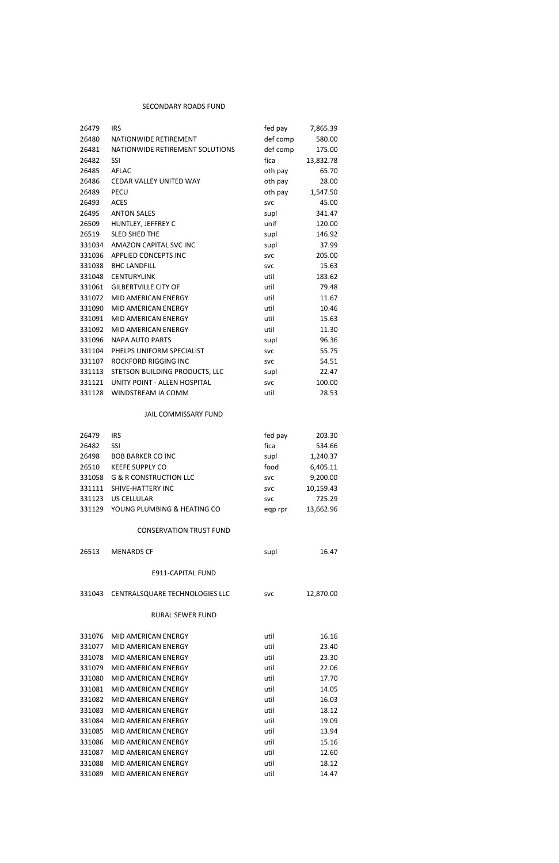## SECONDARY ROADS FUND

| 26479  | <b>IRS</b>                      | fed pay    | 7,865.39  |
|--------|---------------------------------|------------|-----------|
| 26480  | NATIONWIDE RETIREMENT           | def comp   | 580.00    |
| 26481  | NATIONWIDE RETIREMENT SOLUTIONS | def comp   | 175.00    |
| 26482  | <b>SSI</b>                      | fica       | 13,832.78 |
| 26485  | <b>AFLAC</b>                    | oth pay    | 65.70     |
| 26486  | <b>CEDAR VALLEY UNITED WAY</b>  | oth pay    | 28.00     |
| 26489  | <b>PECU</b>                     | oth pay    | 1,547.50  |
| 26493  | <b>ACES</b>                     | <b>SVC</b> | 45.00     |
| 26495  | <b>ANTON SALES</b>              | supl       | 341.47    |
| 26509  | HUNTLEY, JEFFREY C              | unif       | 120.00    |
| 26519  | <b>SLED SHED THE</b>            | supl       | 146.92    |
| 331034 | AMAZON CAPITAL SVC INC          | supl       | 37.99     |
| 331036 | APPLIED CONCEPTS INC            | <b>SVC</b> | 205.00    |
| 331038 | <b>BHC LANDFILL</b>             | <b>SVC</b> | 15.63     |
| 331048 | <b>CENTURYLINK</b>              | util       | 183.62    |
| 331061 | <b>GILBERTVILLE CITY OF</b>     | util       | 79.48     |
| 331072 | MID AMERICAN ENERGY             | util       | 11.67     |
| 331090 | MID AMERICAN ENERGY             | util       | 10.46     |
| 331091 | <b>MID AMERICAN ENERGY</b>      | util       | 15.63     |
| 331092 | MID AMERICAN ENERGY             | util       | 11.30     |
| 331096 | <b>NAPA AUTO PARTS</b>          | supl       | 96.36     |
| 331104 | PHELPS UNIFORM SPECIALIST       | <b>SVC</b> | 55.75     |
| 331107 | ROCKFORD RIGGING INC            | <b>SVC</b> | 54.51     |
| 331113 | STETSON BUILDING PRODUCTS, LLC  | supl       | 22.47     |
| 331121 | UNITY POINT - ALLEN HOSPITAL    | <b>SVC</b> | 100.00    |
| 331128 | WINDSTREAM IA COMM              | util       | 28.53     |
|        | JAIL COMMISSARY FUND            |            |           |
| 26479  | <b>IRS</b>                      | fed pay    | 203.30    |
| 26482  | SSI                             | fica       | 534.66    |
| 26498  | <b>BOB BARKER CO INC</b>        | supl       | 1,240.37  |
| 26510  | <b>KEEFE SUPPLY CO</b>          | food       | 6,405.11  |
|        | 331058 G & R CONSTRUCTION LLC   | <b>SVC</b> | 9,200.00  |
|        | 331111 SHIVE-HATTERY INC        | <b>SVC</b> | 10,159.43 |
|        | 331123 US CELLULAR              | <b>SVC</b> | 725.29    |
| 331129 | YOUNG PLUMBING & HEATING CO     | eqp rpr    | 13,662.96 |
|        | <b>CONSERVATION TRUST FUND</b>  |            |           |
| 26513  | <b>MENARDS CF</b>               | supl       | 16.47     |
|        | E911-CAPITAL FUND               |            |           |
| 331043 | CENTRALSQUARE TECHNOLOGIES LLC  | <b>SVC</b> | 12,870.00 |
|        |                                 |            |           |

## RURAL SEWER FUND

| 331076 | MID AMERICAN ENERGY | util | 16.16 |
|--------|---------------------|------|-------|
| 331077 | MID AMERICAN ENERGY | util | 23.40 |
| 331078 | MID AMERICAN ENERGY | util | 23.30 |
| 331079 | MID AMERICAN ENERGY | util | 22.06 |
| 331080 | MID AMERICAN ENERGY | util | 17.70 |
| 331081 | MID AMERICAN ENERGY | util | 14.05 |
| 331082 | MID AMERICAN ENERGY | util | 16.03 |
| 331083 | MID AMERICAN ENERGY | util | 18.12 |
| 331084 | MID AMERICAN ENERGY | util | 19.09 |
| 331085 | MID AMERICAN ENERGY | util | 13.94 |
| 331086 | MID AMERICAN ENERGY | util | 15.16 |
| 331087 | MID AMERICAN ENERGY | util | 12.60 |
| 331088 | MID AMERICAN ENERGY | util | 18.12 |
| 331089 | MID AMERICAN ENERGY | util | 14.47 |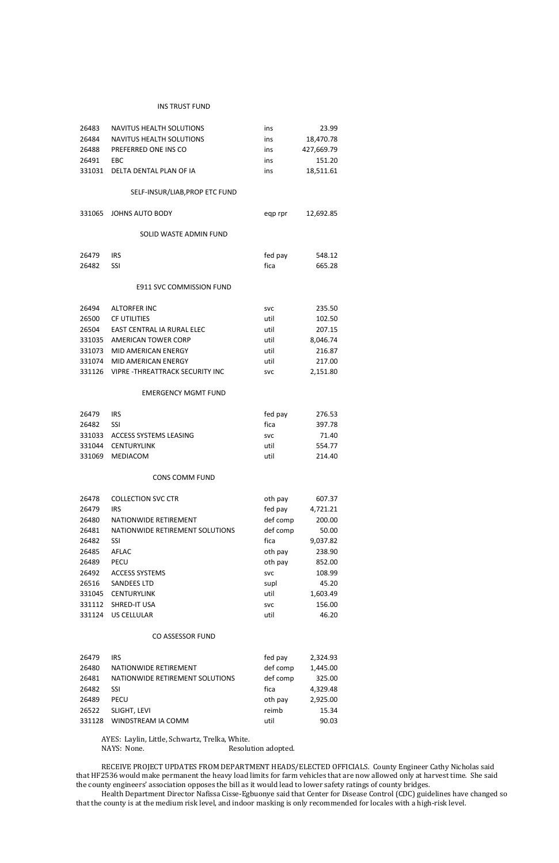#### INS TRUST FUND

| 26483  | <b>NAVITUS HEALTH SOLUTIONS</b>       | ins        | 23.99      |  |
|--------|---------------------------------------|------------|------------|--|
| 26484  | NAVITUS HEALTH SOLUTIONS              | ins        | 18,470.78  |  |
| 26488  | PREFERRED ONE INS CO                  | ins        | 427,669.79 |  |
| 26491  | EBC                                   | ins        | 151.20     |  |
| 331031 | DELTA DENTAL PLAN OF IA               | ins        | 18,511.61  |  |
|        | SELF-INSUR/LIAB, PROP ETC FUND        |            |            |  |
| 331065 | <b>JOHNS AUTO BODY</b>                | eqp rpr    | 12,692.85  |  |
|        | SOLID WASTE ADMIN FUND                |            |            |  |
| 26479  | <b>IRS</b>                            | fed pay    | 548.12     |  |
| 26482  | SSI                                   | fica       | 665.28     |  |
|        | <b>E911 SVC COMMISSION FUND</b>       |            |            |  |
| 26494  | <b>ALTORFER INC</b>                   | <b>SVC</b> | 235.50     |  |
| 26500  | <b>CF UTILITIES</b>                   | util       | 102.50     |  |
| 26504  | EAST CENTRAL IA RURAL ELEC            | util       | 207.15     |  |
| 331035 | AMERICAN TOWER CORP                   | util       | 8,046.74   |  |
| 331073 | MID AMERICAN ENERGY                   | util       | 216.87     |  |
| 331074 | MID AMERICAN ENERGY                   | util       | 217.00     |  |
| 331126 | <b>VIPRE-THREATTRACK SECURITY INC</b> | <b>SVC</b> | 2,151.80   |  |
|        | <b>EMERGENCY MGMT FUND</b>            |            |            |  |
| 26479  | <b>IRS</b>                            | fed pay    | 276.53     |  |
| 26482  | SSI                                   | fica       | 397.78     |  |
| 331033 | <b>ACCESS SYSTEMS LEASING</b>         | <b>SVC</b> | 71.40      |  |
| 331044 | <b>CENTURYLINK</b>                    | util       | 554.77     |  |
| 331069 | MEDIACOM                              | util       | 214.40     |  |
|        | <b>CONS COMM FUND</b>                 |            |            |  |
| 26478  | <b>COLLECTION SVC CTR</b>             | oth pay    | 607.37     |  |
| 26479  | <b>IRS</b>                            | fed pay    | 4,721.21   |  |
| 26480  | NATIONWIDE RETIREMENT                 | def comp   | 200.00     |  |
| 26481  | NATIONWIDE RETIREMENT SOLUTIONS       | def comp   | 50.00      |  |
| 26482  | SSI                                   | fica       | 9,037.82   |  |
| 26485  | <b>AFLAC</b>                          | oth pay    | 238.90     |  |
| 26489  | <b>PECU</b>                           | oth pay    | 852.00     |  |
| 26492  | <b>ACCESS SYSTEMS</b>                 | <b>SVC</b> | 108.99     |  |
| 26516  | <b>SANDEES LTD</b>                    | supl       | 45.20      |  |
| 331045 | <b>CENTURYLINK</b>                    | util       | 1,603.49   |  |
| 331112 | SHRED-IT USA                          | <b>SVC</b> | 156.00     |  |
| 331124 | <b>US CELLULAR</b>                    | util       | 46.20      |  |

AYES: Laylin, Little, Schwartz, Trelka, White. Resolution adopted.

#### CO ASSESSOR FUND

| 26479  | IRS                             | fed pay  | 2,324.93 |
|--------|---------------------------------|----------|----------|
| 26480  | NATIONWIDE RETIREMENT           | def comp | 1,445.00 |
| 26481  | NATIONWIDE RETIREMENT SOLUTIONS | def comp | 325.00   |
| 26482  | SSI                             | fica     | 4,329.48 |
| 26489  | PECU                            | oth pay  | 2,925.00 |
| 26522  | SLIGHT, LEVI                    | reimb    | 15.34    |
| 331128 | WINDSTREAM IA COMM              | util     | 90.03    |

RECEIVE PROJECT UPDATES FROM DEPARTMENT HEADS/ELECTED OFFICIALS. County Engineer Cathy Nicholas said that HF2536 would make permanent the heavy load limits for farm vehicles that are now allowed only at harvest time. She said the county engineers' association opposes the bill as it would lead to lower safety ratings of county bridges.

Health Department Director Nafissa Cisse-Egbuonye said that Center for Disease Control (CDC) guidelines have changed so that the county is at the medium risk level, and indoor masking is only recommended for locales with a high-risk level.